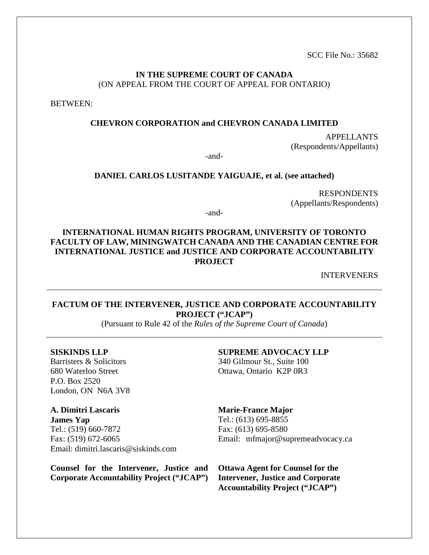SCC File No.: 35682

### **IN THE SUPREME COURT OF CANADA** (ON APPEAL FROM THE COURT OF APPEAL FOR ONTARIO)

BETWEEN:

### **CHEVRON CORPORATION and CHEVRON CANADA LIMITED**

APPELLANTS (Respondents/Appellants)

-and-

#### **DANIEL CARLOS LUSITANDE YAIGUAJE, et al. (see attached)**

RESPONDENTS (Appellants/Respondents)

-and-

### **INTERNATIONAL HUMAN RIGHTS PROGRAM, UNIVERSITY OF TORONTO FACULTY OF LAW, MININGWATCH CANADA AND THE CANADIAN CENTRE FOR INTERNATIONAL JUSTICE and JUSTICE AND CORPORATE ACCOUNTABILITY PROJECT**

INTERVENERS

### **FACTUM OF THE INTERVENER, JUSTICE AND CORPORATE ACCOUNTABILITY PROJECT ("JCAP")**

(Pursuant to Rule 42 of the *Rules of the Supreme Court of Canada*)

**SISKINDS LLP** Barristers & Solicitors 680 Waterloo Street P.O. Box 2520 London, ON N6A 3V8

**A. Dimitri Lascaris James Yap** Tel.: (519) 660-7872 Fax: (519) 672-6065 Email: dimitri.lascaris@siskinds.com

**Counsel for the Intervener, Justice and Corporate Accountability Project ("JCAP")**

#### **SUPREME ADVOCACY LLP**

340 Gilmour St., Suite 100 Ottawa, Ontario K2P 0R3

#### **Marie-France Major**

Tel.: (613) 695-8855 Fax: (613) 695-8580 Email: mfmajor@supremeadvocacy.ca

**Ottawa Agent for Counsel for the Intervener, Justice and Corporate Accountability Project ("JCAP")**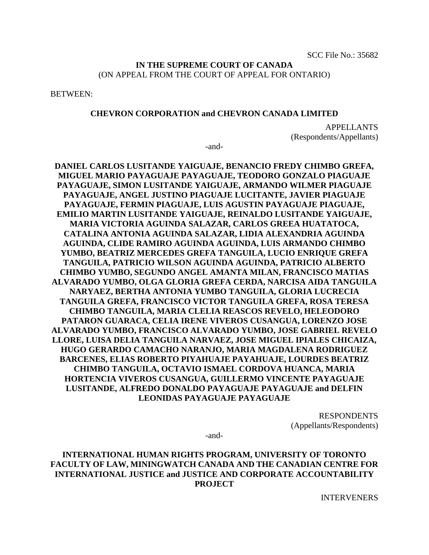### **IN THE SUPREME COURT OF CANADA** (ON APPEAL FROM THE COURT OF APPEAL FOR ONTARIO)

BETWEEN:

#### **CHEVRON CORPORATION and CHEVRON CANADA LIMITED**

APPELLANTS (Respondents/Appellants)

-and-

**DANIEL CARLOS LUSITANDE YAIGUAJE, BENANCIO FREDY CHIMBO GREFA, MIGUEL MARIO PAYAGUAJE PAYAGUAJE, TEODORO GONZALO PIAGUAJE PAYAGUAJE, SIMON LUSITANDE YAIGUAJE, ARMANDO WILMER PIAGUAJE PAYAGUAJE, ANGEL JUSTINO PIAGUAJE LUCITANTE, JAVIER PIAGUAJE PAYAGUAJE, FERMIN PIAGUAJE, LUIS AGUSTIN PAYAGUAJE PIAGUAJE, EMILIO MARTIN LUSITANDE YAIGUAJE, REINALDO LUSITANDE YAIGUAJE, MARIA VICTORIA AGUINDA SALAZAR, CARLOS GREEA HUATATOCA, CATALINA ANTONIA AGUINDA SALAZAR, LIDIA ALEXANDRIA AGUINDA AGUINDA, CLIDE RAMIRO AGUINDA AGUINDA, LUIS ARMANDO CHIMBO YUMBO, BEATRIZ MERCEDES GREFA TANGUILA, LUCIO ENRIQUE GREFA TANGUILA, PATRICIO WILSON AGUINDA AGUINDA, PATRICIO ALBERTO CHIMBO YUMBO, SEGUNDO ANGEL AMANTA MILAN, FRANCISCO MATIAS ALVARADO YUMBO, OLGA GLORIA GREFA CERDA, NARCISA AIDA TANGUILA NARYAEZ, BERTHA ANTONIA YUMBO TANGUILA, GLORIA LUCRECIA TANGUILA GREFA, FRANCISCO VICTOR TANGUILA GREFA, ROSA TERESA CHIMBO TANGUILA, MARIA CLELIA REASCOS REVELO, HELEODORO PATARON GUARACA, CELIA IRENE VIVEROS CUSANGUA, LORENZO JOSE ALVARADO YUMBO, FRANCISCO ALVARADO YUMBO, JOSE GABRIEL REVELO LLORE, LUISA DELIA TANGUILA NARVAEZ, JOSE MIGUEL IPIALES CHICAIZA, HUGO GERARDO CAMACHO NARANJO, MARIA MAGDALENA RODRIGUEZ BARCENES, ELIAS ROBERTO PIYAHUAJE PAYAHUAJE, LOURDES BEATRIZ CHIMBO TANGUILA, OCTAVIO ISMAEL CORDOVA HUANCA, MARIA HORTENCIA VIVEROS CUSANGUA, GUILLERMO VINCENTE PAYAGUAJE LUSITANDE, ALFREDO DONALDO PAYAGUAJE PAYAGUAJE and DELFIN LEONIDAS PAYAGUAJE PAYAGUAJE**

> RESPONDENTS (Appellants/Respondents)

-and-

### **INTERNATIONAL HUMAN RIGHTS PROGRAM, UNIVERSITY OF TORONTO FACULTY OF LAW, MININGWATCH CANADA AND THE CANADIAN CENTRE FOR INTERNATIONAL JUSTICE and JUSTICE AND CORPORATE ACCOUNTABILITY PROJECT**

INTERVENERS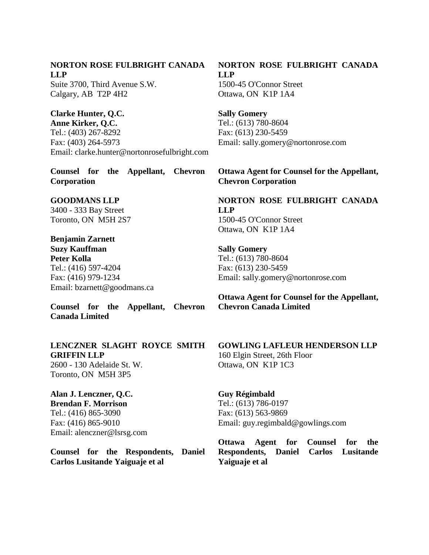### **NORTON ROSE FULBRIGHT CANADA LLP**

Suite 3700, Third Avenue S.W. Calgary, AB T2P 4H2

## **Clarke Hunter, Q.C.**

**Anne Kirker, Q.C.** Tel.: (403) 267-8292 Fax: (403) 264-5973 Email: clarke.hunter@nortonrosefulbright.com

**Counsel for the Appellant, Chevron Corporation**

### **GOODMANS LLP**

3400 - 333 Bay Street Toronto, ON M5H 2S7

# **Benjamin Zarnett**

**Suzy Kauffman Peter Kolla**  Tel.: (416) 597-4204 Fax: (416) 979-1234 Email: bzarnett@goodmans.ca

**Counsel for the Appellant, Chevron Canada Limited**

### **LENCZNER SLAGHT ROYCE SMITH GRIFFIN LLP**

2600 - 130 Adelaide St. W. Toronto, ON M5H 3P5

## **Alan J. Lenczner, Q.C.**

**Brendan F. Morrison**  Tel.: (416) 865-3090 Fax: (416) 865-9010 Email: alenczner@lsrsg.com

**Counsel for the Respondents, Daniel Carlos Lusitande Yaiguaje et al**

## **NORTON ROSE FULBRIGHT CANADA LLP**

1500-45 O'Connor Street Ottawa, ON K1P 1A4

**Sally Gomery**  Tel.: (613) 780-8604 Fax: (613) 230-5459 Email: sally.gomery@nortonrose.com

### **Ottawa Agent for Counsel for the Appellant, Chevron Corporation**

## **NORTON ROSE FULBRIGHT CANADA LLP** 1500-45 O'Connor Street Ottawa, ON K1P 1A4

**Sally Gomery**  Tel.: (613) 780-8604 Fax: (613) 230-5459 Email: sally.gomery@nortonrose.com

**Ottawa Agent for Counsel for the Appellant, Chevron Canada Limited**

#### **GOWLING LAFLEUR HENDERSON LLP** 160 Elgin Street, 26th Floor

Ottawa, ON K1P 1C3

### **Guy Régimbald**  Tel.: (613) 786-0197 Fax: (613) 563-9869 Email: guy.regimbald@gowlings.com

**Ottawa Agent for Counsel for the Respondents, Daniel Carlos Lusitande Yaiguaje et al**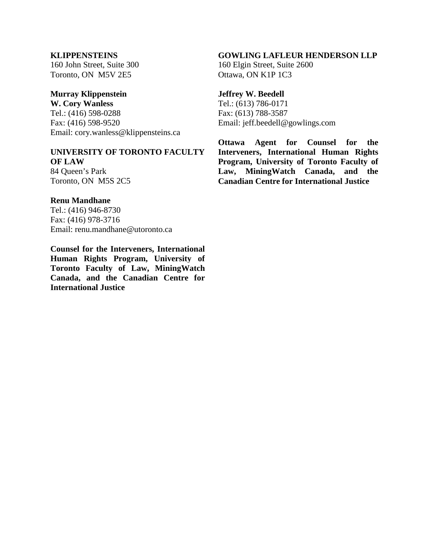### **KLIPPENSTEINS**

160 John Street, Suite 300 Toronto, ON M5V 2E5

## **Murray Klippenstein**

**W. Cory Wanless** Tel.: (416) 598-0288 Fax: (416) 598-9520 Email: cory.wanless@klippensteins.ca

#### **UNIVERSITY OF TORONTO FACULTY OF LAW**

84 Queen's Park Toronto, ON M5S 2C5

### **Renu Mandhane**

Tel.: (416) 946-8730 Fax: (416) 978-3716 Email: renu.mandhane@utoronto.ca

**Counsel for the Interveners, International Human Rights Program, University of Toronto Faculty of Law, MiningWatch Canada, and the Canadian Centre for International Justice**

### **GOWLING LAFLEUR HENDERSON LLP**

160 Elgin Street, Suite 2600 Ottawa, ON K1P 1C3

### **Jeffrey W. Beedell**

Tel.: (613) 786-0171 Fax: (613) 788-3587 Email: jeff.beedell@gowlings.com

**Ottawa Agent for Counsel for the Interveners, International Human Rights Program, University of Toronto Faculty of Law, MiningWatch Canada, and the Canadian Centre for International Justice**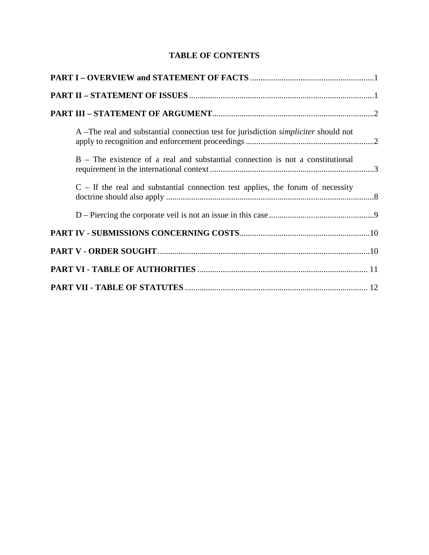## **TABLE OF CONTENTS**

| A –The real and substantial connection test for jurisdiction <i>simpliciter</i> should not |
|--------------------------------------------------------------------------------------------|
| B – The existence of a real and substantial connection is not a constitutional             |
| $C - If the real and substantial connection test applies, the forum of necessity$          |
|                                                                                            |
|                                                                                            |
|                                                                                            |
|                                                                                            |
|                                                                                            |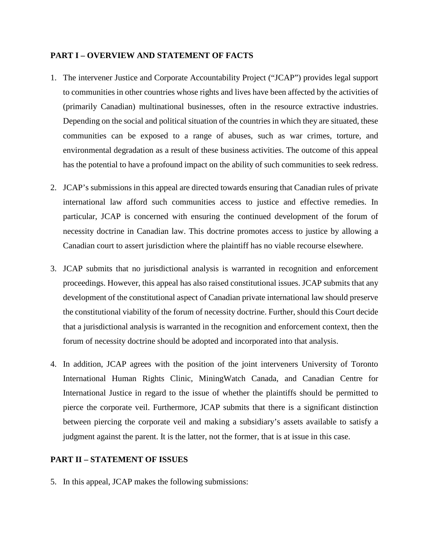### <span id="page-5-0"></span>**PART I – OVERVIEW AND STATEMENT OF FACTS**

- 1. The intervener Justice and Corporate Accountability Project ("JCAP") provides legal support to communities in other countries whose rights and lives have been affected by the activities of (primarily Canadian) multinational businesses, often in the resource extractive industries. Depending on the social and political situation of the countries in which they are situated, these communities can be exposed to a range of abuses, such as war crimes, torture, and environmental degradation as a result of these business activities. The outcome of this appeal has the potential to have a profound impact on the ability of such communities to seek redress.
- 2. JCAP's submissions in this appeal are directed towards ensuring that Canadian rules of private international law afford such communities access to justice and effective remedies. In particular, JCAP is concerned with ensuring the continued development of the forum of necessity doctrine in Canadian law. This doctrine promotes access to justice by allowing a Canadian court to assert jurisdiction where the plaintiff has no viable recourse elsewhere.
- 3. JCAP submits that no jurisdictional analysis is warranted in recognition and enforcement proceedings. However, this appeal has also raised constitutional issues. JCAP submits that any development of the constitutional aspect of Canadian private international law should preserve the constitutional viability of the forum of necessity doctrine. Further, should this Court decide that a jurisdictional analysis is warranted in the recognition and enforcement context, then the forum of necessity doctrine should be adopted and incorporated into that analysis.
- 4. In addition, JCAP agrees with the position of the joint interveners University of Toronto International Human Rights Clinic, MiningWatch Canada, and Canadian Centre for International Justice in regard to the issue of whether the plaintiffs should be permitted to pierce the corporate veil. Furthermore, JCAP submits that there is a significant distinction between piercing the corporate veil and making a subsidiary's assets available to satisfy a judgment against the parent. It is the latter, not the former, that is at issue in this case.

### <span id="page-5-1"></span>**PART II – STATEMENT OF ISSUES**

5. In this appeal, JCAP makes the following submissions: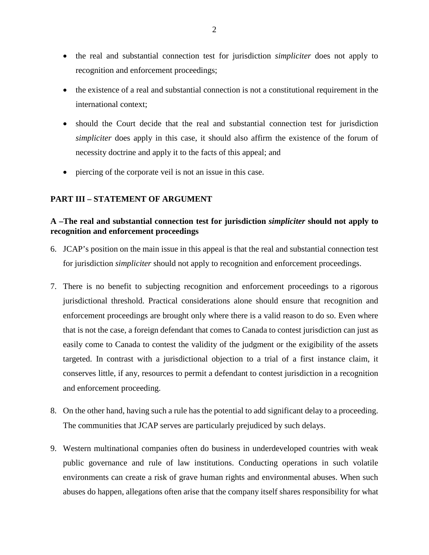- the real and substantial connection test for jurisdiction *simpliciter* does not apply to recognition and enforcement proceedings;
- the existence of a real and substantial connection is not a constitutional requirement in the international context;
- should the Court decide that the real and substantial connection test for jurisdiction *simpliciter* does apply in this case, it should also affirm the existence of the forum of necessity doctrine and apply it to the facts of this appeal; and
- piercing of the corporate veil is not an issue in this case.

### <span id="page-6-0"></span>**PART III – STATEMENT OF ARGUMENT**

### <span id="page-6-1"></span>**A –The real and substantial connection test for jurisdiction** *simpliciter* **should not apply to recognition and enforcement proceedings**

- 6. JCAP's position on the main issue in this appeal is that the real and substantial connection test for jurisdiction *simpliciter* should not apply to recognition and enforcement proceedings.
- 7. There is no benefit to subjecting recognition and enforcement proceedings to a rigorous jurisdictional threshold. Practical considerations alone should ensure that recognition and enforcement proceedings are brought only where there is a valid reason to do so. Even where that is not the case, a foreign defendant that comes to Canada to contest jurisdiction can just as easily come to Canada to contest the validity of the judgment or the exigibility of the assets targeted. In contrast with a jurisdictional objection to a trial of a first instance claim, it conserves little, if any, resources to permit a defendant to contest jurisdiction in a recognition and enforcement proceeding.
- 8. On the other hand, having such a rule has the potential to add significant delay to a proceeding. The communities that JCAP serves are particularly prejudiced by such delays.
- 9. Western multinational companies often do business in underdeveloped countries with weak public governance and rule of law institutions. Conducting operations in such volatile environments can create a risk of grave human rights and environmental abuses. When such abuses do happen, allegations often arise that the company itself shares responsibility for what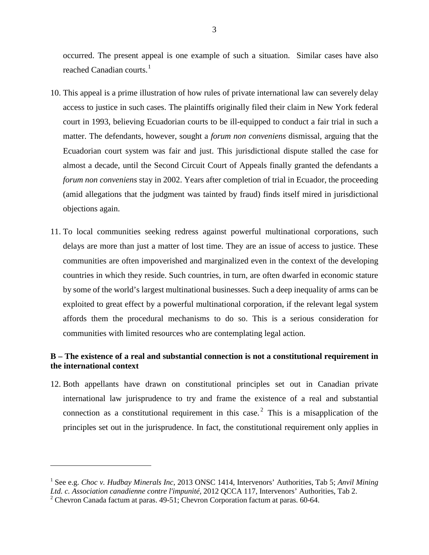occurred. The present appeal is one example of such a situation. Similar cases have also reached Canadian courts. $<sup>1</sup>$  $<sup>1</sup>$  $<sup>1</sup>$ </sup>

- 10. This appeal is a prime illustration of how rules of private international law can severely delay access to justice in such cases. The plaintiffs originally filed their claim in New York federal court in 1993, believing Ecuadorian courts to be ill-equipped to conduct a fair trial in such a matter. The defendants, however, sought a *forum non conveniens* dismissal, arguing that the Ecuadorian court system was fair and just. This jurisdictional dispute stalled the case for almost a decade, until the Second Circuit Court of Appeals finally granted the defendants a *forum non conveniens* stay in 2002. Years after completion of trial in Ecuador, the proceeding (amid allegations that the judgment was tainted by fraud) finds itself mired in jurisdictional objections again.
- 11. To local communities seeking redress against powerful multinational corporations, such delays are more than just a matter of lost time. They are an issue of access to justice. These communities are often impoverished and marginalized even in the context of the developing countries in which they reside. Such countries, in turn, are often dwarfed in economic stature by some of the world's largest multinational businesses. Such a deep inequality of arms can be exploited to great effect by a powerful multinational corporation, if the relevant legal system affords them the procedural mechanisms to do so. This is a serious consideration for communities with limited resources who are contemplating legal action.

### <span id="page-7-0"></span>**B – The existence of a real and substantial connection is not a constitutional requirement in the international context**

12. Both appellants have drawn on constitutional principles set out in Canadian private international law jurisprudence to try and frame the existence of a real and substantial connection as a constitutional requirement in this case.<sup>[2](#page-7-2)</sup> This is a misapplication of the principles set out in the jurisprudence. In fact, the constitutional requirement only applies in

<span id="page-7-1"></span><sup>&</sup>lt;sup>1</sup> See e.g. *Choc v. Hudbay Minerals Inc*, 2013 ONSC 1414, Intervenors' Authorities, Tab 5; *Anvil Mining Ltd. c. Association canadienne contre l'impunité*, 2012 QCCA 117, Intervenors' Authorities, Tab 2.

<span id="page-7-2"></span><sup>&</sup>lt;sup>2</sup> Chevron Canada factum at paras. 49-51; Chevron Corporation factum at paras. 60-64.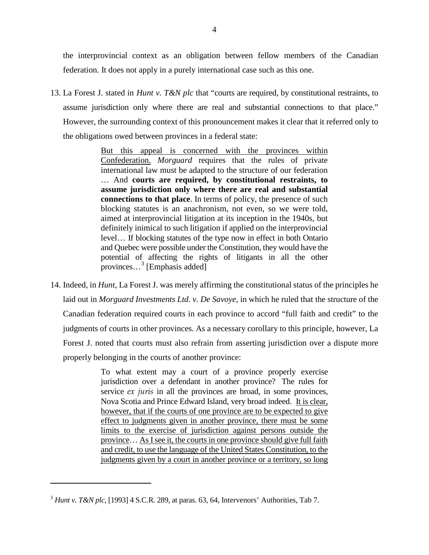the interprovincial context as an obligation between fellow members of the Canadian federation. It does not apply in a purely international case such as this one.

13. La Forest J. stated in *Hunt v. T&N plc* that "courts are required, by constitutional restraints, to assume jurisdiction only where there are real and substantial connections to that place." However, the surrounding context of this pronouncement makes it clear that it referred only to the obligations owed between provinces in a federal state:

> But this appeal is concerned with the provinces within Confederation. *Morguard* requires that the rules of private international law must be adapted to the structure of our federation … And **courts are required, by constitutional restraints, to assume jurisdiction only where there are real and substantial connections to that place**. In terms of policy, the presence of such blocking statutes is an anachronism, not even, so we were told, aimed at interprovincial litigation at its inception in the 1940s, but definitely inimical to such litigation if applied on the interprovincial level… If blocking statutes of the type now in effect in both Ontario and Quebec were possible under the Constitution, they would have the potential of affecting the rights of litigants in all the other provinces...<sup>[3](#page-8-0)</sup> [Emphasis added]

14. Indeed, in *Hunt*, La Forest J. was merely affirming the constitutional status of the principles he laid out in *Morguard Investments Ltd. v. De Savoye*, in which he ruled that the structure of the Canadian federation required courts in each province to accord "full faith and credit" to the judgments of courts in other provinces. As a necessary corollary to this principle, however, La Forest J. noted that courts must also refrain from asserting jurisdiction over a dispute more properly belonging in the courts of another province:

> To what extent may a court of a province properly exercise jurisdiction over a defendant in another province? The rules for service *ex juris* in all the provinces are broad, in some provinces, Nova Scotia and Prince Edward Island, very broad indeed. It is clear, however, that if the courts of one province are to be expected to give effect to judgments given in another province, there must be some limits to the exercise of jurisdiction against persons outside the province… As I see it, the courts in one province should give full faith and credit, to use the language of the United States Constitution, to the judgments given by a court in another province or a territory, so long

<span id="page-8-0"></span><sup>3</sup> *Hunt v. T&N plc*, [1993] 4 S.C.R. 289, at paras. 63, 64, Intervenors' Authorities, Tab 7.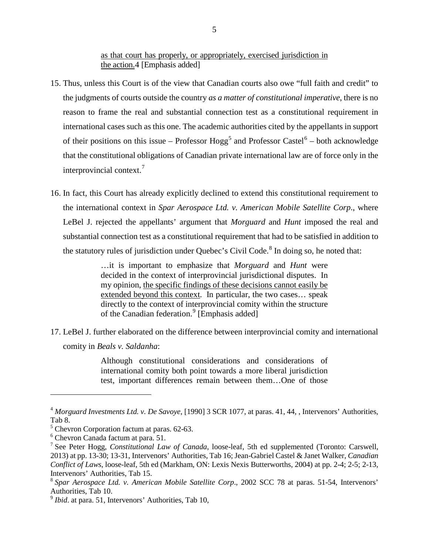as that court has properly, or appropriately, exercised jurisdiction in the action.[4](#page-9-0) [Emphasis added]

- 15. Thus, unless this Court is of the view that Canadian courts also owe "full faith and credit" to the judgments of courts outside the country *as a matter of constitutional imperative*, there is no reason to frame the real and substantial connection test as a constitutional requirement in international cases such as this one. The academic authorities cited by the appellants in support of their positions on this issue – Professor Hogg<sup>[5](#page-9-1)</sup> and Professor Castel<sup>[6](#page-9-2)</sup> – both acknowledge that the constitutional obligations of Canadian private international law are of force only in the interprovincial context.<sup>[7](#page-9-3)</sup>
- 16. In fact, this Court has already explicitly declined to extend this constitutional requirement to the international context in *Spar Aerospace Ltd. v. American Mobile Satellite Corp*., where LeBel J. rejected the appellants' argument that *Morguard* and *Hunt* imposed the real and substantial connection test as a constitutional requirement that had to be satisfied in addition to the statutory rules of jurisdiction under Quebec's Civil Code.<sup>[8](#page-9-4)</sup> In doing so, he noted that:

…it is important to emphasize that *Morguard* and *Hunt* were decided in the context of interprovincial jurisdictional disputes. In my opinion, the specific findings of these decisions cannot easily be extended beyond this context. In particular, the two cases… speak directly to the context of interprovincial comity within the structure of the Canadian federation.<sup>[9](#page-9-5)</sup> [Emphasis added]

17. LeBel J. further elaborated on the difference between interprovincial comity and international comity in *Beals v. Saldanha*:

> Although constitutional considerations and considerations of international comity both point towards a more liberal jurisdiction test, important differences remain between them…One of those

<span id="page-9-0"></span><sup>4</sup> *Morguard Investments Ltd. v. De Savoye*, [1990] 3 SCR 1077, at paras. 41, 44, , Intervenors' Authorities, Tab 8.<br><sup>5</sup> Chevron Corporation factum at paras. 62-63.<br><sup>6</sup> Chevron Canada factum at para. 51.<br><sup>7</sup> See Peter Hogg, *Constitutional Law of Canada*, loose-leaf, 5th ed supplemented (Toronto: Carswell,

<span id="page-9-1"></span>

<span id="page-9-2"></span>

<span id="page-9-3"></span><sup>2013)</sup> at pp. 13-30; 13-31, Intervenors' Authorities, Tab 16; Jean-Gabriel Castel & Janet Walker, *Canadian Conflict of Laws*, loose-leaf, 5th ed (Markham, ON: Lexis Nexis Butterworths, 2004) at pp. 2-4; 2-5; 2-13, Intervenors' Authorities, Tab 15. <sup>8</sup> *Spar Aerospace Ltd. v. American Mobile Satellite Corp*., 2002 SCC 78 at paras. 51-54, Intervenors'

<span id="page-9-4"></span>Authorities, Tab 10.<br><sup>9</sup> *Ibid.* at para. 51, Intervenors' Authorities, Tab 10,

<span id="page-9-5"></span>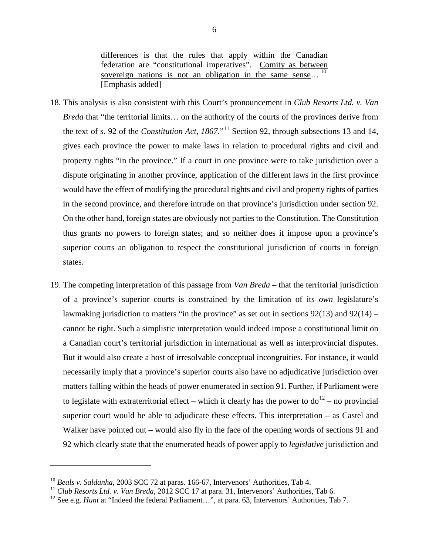differences is that the rules that apply within the Canadian federation are "constitutional imperatives". Comity as between sovereign nations is not an obligation in the same sense...<sup>[10](#page-10-0)</sup> [Emphasis added]

- 18. This analysis is also consistent with this Court's pronouncement in *Club Resorts Ltd. v. Van Breda* that "the territorial limits… on the authority of the courts of the provinces derive from the text of s. 92 of the *Constitution Act, 1867*."[11](#page-10-1) Section 92, through subsections 13 and 14, gives each province the power to make laws in relation to procedural rights and civil and property rights "in the province." If a court in one province were to take jurisdiction over a dispute originating in another province, application of the different laws in the first province would have the effect of modifying the procedural rights and civil and property rights of parties in the second province, and therefore intrude on that province's jurisdiction under section 92. On the other hand, foreign states are obviously not parties to the Constitution. The Constitution thus grants no powers to foreign states; and so neither does it impose upon a province's superior courts an obligation to respect the constitutional jurisdiction of courts in foreign states.
- 19. The competing interpretation of this passage from *Van Breda* that the territorial jurisdiction of a province's superior courts is constrained by the limitation of its *own* legislature's lawmaking jurisdiction to matters "in the province" as set out in sections  $92(13)$  and  $92(14)$  – cannot be right. Such a simplistic interpretation would indeed impose a constitutional limit on a Canadian court's territorial jurisdiction in international as well as interprovincial disputes. But it would also create a host of irresolvable conceptual incongruities. For instance, it would necessarily imply that a province's superior courts also have no adjudicative jurisdiction over matters falling within the heads of power enumerated in section 91. Further, if Parliament were to legislate with extraterritorial effect – which it clearly has the power to  $d\sigma^{12}$  $d\sigma^{12}$  $d\sigma^{12}$  – no provincial superior court would be able to adjudicate these effects. This interpretation – as Castel and Walker have pointed out – would also fly in the face of the opening words of sections 91 and 92 which clearly state that the enumerated heads of power apply to *legislative* jurisdiction and

<span id="page-10-2"></span><span id="page-10-1"></span>

<span id="page-10-0"></span><sup>&</sup>lt;sup>10</sup> Beals v. Saldanha, 2003 SCC 72 at paras. 166-67, Intervenors' Authorities, Tab 4.<br><sup>11</sup> Club Resorts Ltd. v. Van Breda, 2012 SCC 17 at para. 31, Intervenors' Authorities, Tab 6.<br><sup>12</sup> See e.g. *Hunt* at "Indeed the fed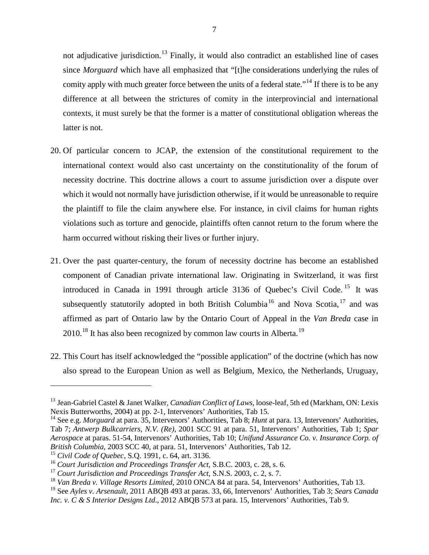not adjudicative jurisdiction.<sup>[13](#page-11-0)</sup> Finally, it would also contradict an established line of cases since *Morguard* which have all emphasized that "[t]he considerations underlying the rules of comity apply with much greater force between the units of a federal state."<sup>[14](#page-11-1)</sup> If there is to be any difference at all between the strictures of comity in the interprovincial and international contexts, it must surely be that the former is a matter of constitutional obligation whereas the latter is not.

- 20. Of particular concern to JCAP, the extension of the constitutional requirement to the international context would also cast uncertainty on the constitutionality of the forum of necessity doctrine. This doctrine allows a court to assume jurisdiction over a dispute over which it would not normally have jurisdiction otherwise, if it would be unreasonable to require the plaintiff to file the claim anywhere else. For instance, in civil claims for human rights violations such as torture and genocide, plaintiffs often cannot return to the forum where the harm occurred without risking their lives or further injury.
- 21. Over the past quarter-century, the forum of necessity doctrine has become an established component of Canadian private international law. Originating in Switzerland, it was first introduced in Canada in 1991 through article 3136 of Quebec's Civil Code.<sup>[15](#page-11-2)</sup> It was subsequently statutorily adopted in both British Columbia<sup>[16](#page-11-3)</sup> and Nova Scotia,<sup>[17](#page-11-4)</sup> and was affirmed as part of Ontario law by the Ontario Court of Appeal in the *Van Breda* case in  $2010$ <sup>[18](#page-11-5)</sup> It has also been recognized by common law courts in Alberta.<sup>[19](#page-11-6)</sup>
- 22. This Court has itself acknowledged the "possible application" of the doctrine (which has now also spread to the European Union as well as Belgium, Mexico, the Netherlands, Uruguay,

<span id="page-11-0"></span><sup>&</sup>lt;sup>13</sup> Jean-Gabriel Castel & Janet Walker, *Canadian Conflict of Laws*, loose-leaf, 5th ed (Markham, ON: Lexis Nexis Butterworths, 2004) at pp. 2-1, Intervenors' Authorities, Tab 15.

<span id="page-11-1"></span><sup>&</sup>lt;sup>14</sup> See e.g. *Morguard* at para. 35, Intervenors' Authorities, Tab 8; *Hunt* at para. 13, Intervenors' Authorities, Tab 7; *Antwerp Bulkcarriers, N.V. (Re)*, 2001 SCC 91 at para. 51, Intervenors' Authorities, Tab 1; *Spar Aerospace* at paras. 51-54, Intervenors' Authorities, Tab 10; *Unifund Assurance Co. v. Insurance Corp. of British Columbia*, 2003 SCC 40, at para. 51, Intervenors' Authorities, Tab 12. <sup>15</sup> *Civil Code of Quebec*, S.Q. 1991, c. 64, art. 3136.

<span id="page-11-2"></span>

<span id="page-11-3"></span><sup>&</sup>lt;sup>16</sup> Court Jurisdiction and Proceedings Transfer Act, S.B.C. 2003, c. 28, s. 6.

<span id="page-11-4"></span><sup>17</sup> *Court Jurisdiction and Proceedings Transfer Act*, S.N.S. 2003, c. 2, s. 7.

<span id="page-11-5"></span><sup>&</sup>lt;sup>18</sup> Van Breda v. Village Resorts Limited, 2010 ONCA 84 at para. 54, Intervenors' Authorities, Tab 13.<br><sup>19</sup> See Ayles v. Arsenault, 2011 ABQB 493 at paras. 33, 66, Intervenors' Authorities, Tab 3; Sears Canada

<span id="page-11-6"></span>*Inc. v. C & S Interior Designs Ltd.*, 2012 ABQB 573 at para. 15, Intervenors' Authorities, Tab 9.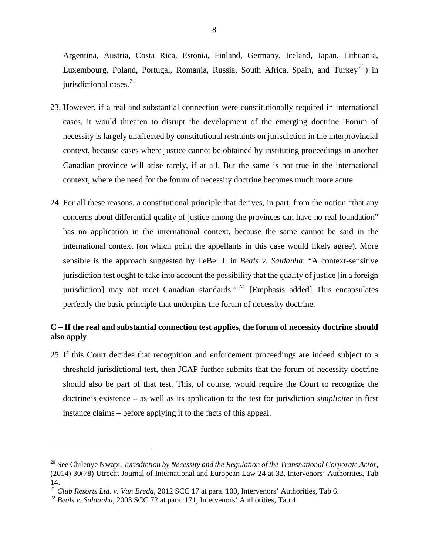Argentina, Austria, Costa Rica, Estonia, Finland, Germany, Iceland, Japan, Lithuania, Luxembourg, Poland, Portugal, Romania, Russia, South Africa, Spain, and Turkey<sup>[20](#page-12-1)</sup>) in jurisdictional cases.<sup>[21](#page-12-2)</sup>

- 23. However, if a real and substantial connection were constitutionally required in international cases, it would threaten to disrupt the development of the emerging doctrine. Forum of necessity is largely unaffected by constitutional restraints on jurisdiction in the interprovincial context, because cases where justice cannot be obtained by instituting proceedings in another Canadian province will arise rarely, if at all. But the same is not true in the international context, where the need for the forum of necessity doctrine becomes much more acute.
- 24. For all these reasons, a constitutional principle that derives, in part, from the notion "that any concerns about differential quality of justice among the provinces can have no real foundation" has no application in the international context, because the same cannot be said in the international context (on which point the appellants in this case would likely agree). More sensible is the approach suggested by LeBel J. in *Beals v. Saldanha*: "A context-sensitive jurisdiction test ought to take into account the possibility that the quality of justice [in a foreign jurisdiction] may not meet Canadian standards." <sup>[22](#page-12-3)</sup> [Emphasis added] This encapsulates perfectly the basic principle that underpins the forum of necessity doctrine.

### <span id="page-12-0"></span>**C – If the real and substantial connection test applies, the forum of necessity doctrine should also apply**

25. If this Court decides that recognition and enforcement proceedings are indeed subject to a threshold jurisdictional test, then JCAP further submits that the forum of necessity doctrine should also be part of that test. This, of course, would require the Court to recognize the doctrine's existence – as well as its application to the test for jurisdiction *simpliciter* in first instance claims – before applying it to the facts of this appeal.

<span id="page-12-1"></span><sup>20</sup> See Chilenye Nwapi, *Jurisdiction by Necessity and the Regulation of the Transnational Corporate Actor,* (2014) 30(78) Utrecht Journal of International and European Law 24 at 32, Intervenors' Authorities, Tab 14. <sup>21</sup> *Club Resorts Ltd. v. Van Breda,* 2012 SCC 17 at para. 100, Intervenors' Authorities, Tab 6. <sup>22</sup> *Beals v. Saldanha*, 2003 SCC 72 at para. 171, Intervenors' Authorities, Tab 4.

<span id="page-12-2"></span>

<span id="page-12-3"></span>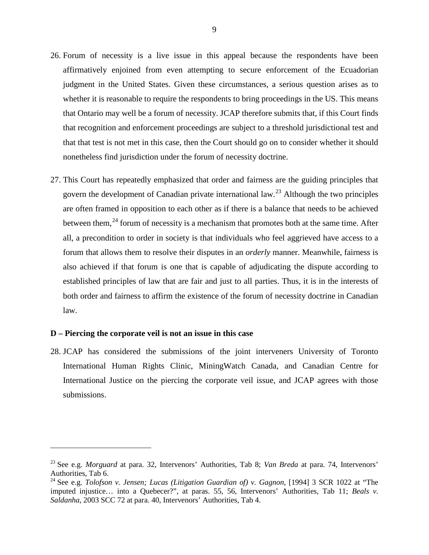- 26. Forum of necessity is a live issue in this appeal because the respondents have been affirmatively enjoined from even attempting to secure enforcement of the Ecuadorian judgment in the United States. Given these circumstances, a serious question arises as to whether it is reasonable to require the respondents to bring proceedings in the US. This means that Ontario may well be a forum of necessity. JCAP therefore submits that, if this Court finds that recognition and enforcement proceedings are subject to a threshold jurisdictional test and that that test is not met in this case, then the Court should go on to consider whether it should nonetheless find jurisdiction under the forum of necessity doctrine.
- 27. This Court has repeatedly emphasized that order and fairness are the guiding principles that govern the development of Canadian private international law.<sup>[23](#page-13-1)</sup> Although the two principles are often framed in opposition to each other as if there is a balance that needs to be achieved between them,<sup>[24](#page-13-2)</sup> forum of necessity is a mechanism that promotes both at the same time. After all, a precondition to order in society is that individuals who feel aggrieved have access to a forum that allows them to resolve their disputes in an *orderly* manner. Meanwhile, fairness is also achieved if that forum is one that is capable of adjudicating the dispute according to established principles of law that are fair and just to all parties. Thus, it is in the interests of both order and fairness to affirm the existence of the forum of necessity doctrine in Canadian law.

#### <span id="page-13-0"></span>**D – Piercing the corporate veil is not an issue in this case**

 $\overline{a}$ 

28. JCAP has considered the submissions of the joint interveners University of Toronto International Human Rights Clinic, MiningWatch Canada, and Canadian Centre for International Justice on the piercing the corporate veil issue, and JCAP agrees with those submissions.

<span id="page-13-1"></span><sup>23</sup> See e.g. *Morguard* at para. 32, Intervenors' Authorities, Tab 8; *Van Breda* at para. 74, Intervenors' Authorities, Tab 6.<br><sup>24</sup> See e.g. *Tolofson v. Jensen; Lucas (Litigation Guardian of) v. Gagnon*, [1994] 3 SCR 1022 at "The

<span id="page-13-2"></span>imputed injustice… into a Quebecer?", at paras. 55, 56, Intervenors' Authorities, Tab 11; *Beals v. Saldanha*, 2003 SCC 72 at para. 40, Intervenors' Authorities, Tab 4.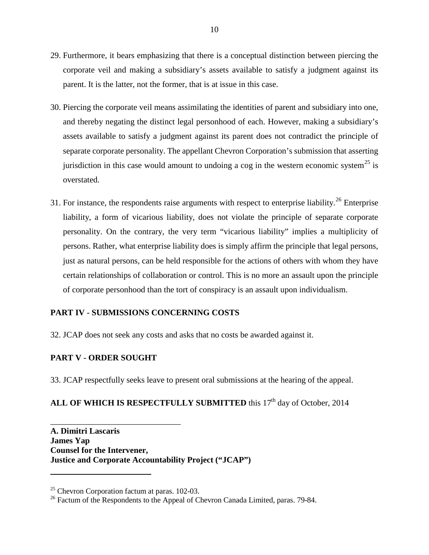- 29. Furthermore, it bears emphasizing that there is a conceptual distinction between piercing the corporate veil and making a subsidiary's assets available to satisfy a judgment against its parent. It is the latter, not the former, that is at issue in this case.
- 30. Piercing the corporate veil means assimilating the identities of parent and subsidiary into one, and thereby negating the distinct legal personhood of each. However, making a subsidiary's assets available to satisfy a judgment against its parent does not contradict the principle of separate corporate personality. The appellant Chevron Corporation's submission that asserting jurisdiction in this case would amount to undoing a cog in the western economic system<sup>[25](#page-14-2)</sup> is overstated.
- 31. For instance, the respondents raise arguments with respect to enterprise liability.<sup>[26](#page-14-3)</sup> Enterprise liability, a form of vicarious liability, does not violate the principle of separate corporate personality. On the contrary, the very term "vicarious liability" implies a multiplicity of persons. Rather, what enterprise liability does is simply affirm the principle that legal persons, just as natural persons, can be held responsible for the actions of others with whom they have certain relationships of collaboration or control. This is no more an assault upon the principle of corporate personhood than the tort of conspiracy is an assault upon individualism.

### <span id="page-14-0"></span>**PART IV - SUBMISSIONS CONCERNING COSTS**

32. JCAP does not seek any costs and asks that no costs be awarded against it.

### <span id="page-14-1"></span>**PART V - ORDER SOUGHT**

33. JCAP respectfully seeks leave to present oral submissions at the hearing of the appeal.

## ALL OF WHICH IS RESPECTFULLY SUBMITTED this 17<sup>th</sup> day of October, 2014

**A. Dimitri Lascaris James Yap Counsel for the Intervener, Justice and Corporate Accountability Project ("JCAP")**

\_\_\_\_\_\_\_\_\_\_\_\_\_\_\_\_\_\_\_\_\_\_\_\_\_\_\_\_\_\_\_

<span id="page-14-2"></span> $25$  Chevron Corporation factum at paras. 102-03.

<span id="page-14-3"></span><sup>&</sup>lt;sup>26</sup> Factum of the Respondents to the Appeal of Chevron Canada Limited, paras. 79-84.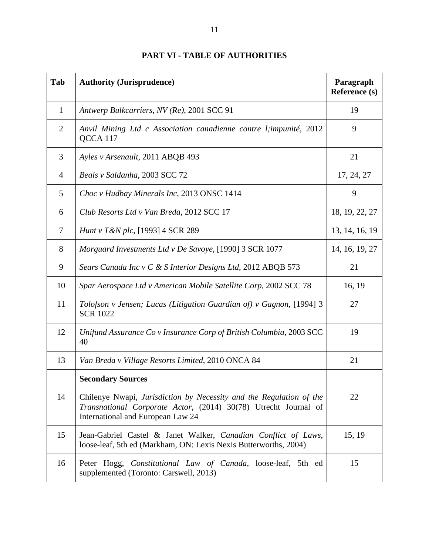<span id="page-15-0"></span>

| Tab            | <b>Authority (Jurisprudence)</b>                                                                                                                                            | Paragraph<br>Reference (s) |
|----------------|-----------------------------------------------------------------------------------------------------------------------------------------------------------------------------|----------------------------|
| $\mathbf{1}$   | Antwerp Bulkcarriers, NV (Re), 2001 SCC 91                                                                                                                                  | 19                         |
| $\overline{2}$ | Anvil Mining Ltd c Association canadienne contre l; impunité, 2012<br>QCCA 117                                                                                              | 9                          |
| 3              | Ayles v Arsenault, 2011 ABQB 493                                                                                                                                            | 21                         |
| 4              | Beals v Saldanha, 2003 SCC 72                                                                                                                                               | 17, 24, 27                 |
| 5              | Choc v Hudbay Minerals Inc, 2013 ONSC 1414                                                                                                                                  | 9                          |
| 6              | Club Resorts Ltd v Van Breda, 2012 SCC 17                                                                                                                                   | 18, 19, 22, 27             |
| 7              | <i>Hunt v T&amp;N plc</i> , [1993] 4 SCR 289                                                                                                                                | 13, 14, 16, 19             |
| 8              | Morguard Investments Ltd v De Savoye, [1990] 3 SCR 1077                                                                                                                     | 14, 16, 19, 27             |
| 9              | Sears Canada Inc v C & S Interior Designs Ltd, 2012 ABQB 573                                                                                                                | 21                         |
| 10             | Spar Aerospace Ltd v American Mobile Satellite Corp, 2002 SCC 78                                                                                                            | 16, 19                     |
| 11             | Tolofson v Jensen; Lucas (Litigation Guardian of) v Gagnon, [1994] 3<br><b>SCR 1022</b>                                                                                     | 27                         |
| 12             | Unifund Assurance Co v Insurance Corp of British Columbia, 2003 SCC<br>40                                                                                                   | 19                         |
| 13             | Van Breda v Village Resorts Limited, 2010 ONCA 84                                                                                                                           | 21                         |
|                | <b>Secondary Sources</b>                                                                                                                                                    |                            |
| 14             | Chilenye Nwapi, Jurisdiction by Necessity and the Regulation of the<br>Transnational Corporate Actor, (2014) 30(78) Utrecht Journal of<br>International and European Law 24 | 22                         |
| 15             | Jean-Gabriel Castel & Janet Walker, Canadian Conflict of Laws,<br>loose-leaf, 5th ed (Markham, ON: Lexis Nexis Butterworths, 2004)                                          | 15, 19                     |
| 16             | Peter Hogg, Constitutional Law of Canada, loose-leaf, 5th ed<br>supplemented (Toronto: Carswell, 2013)                                                                      | 15                         |

## **PART VI - TABLE OF AUTHORITIES**